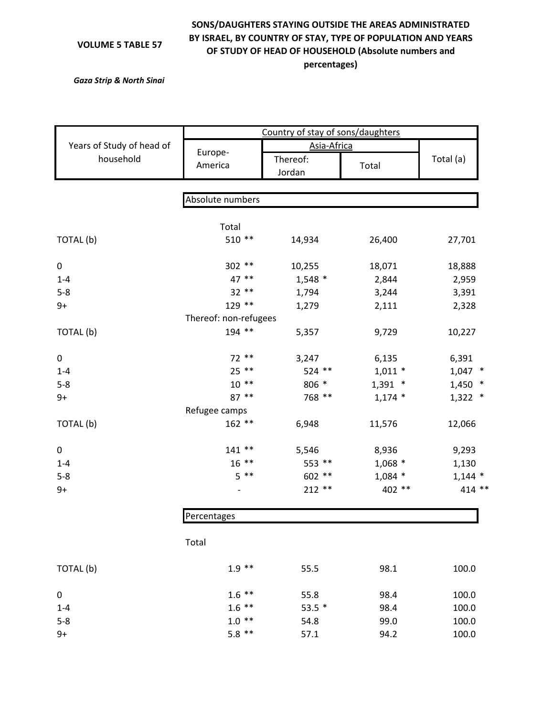## **VOLUME 5 TABLE 57**

## **SONS/DAUGHTERS STAYING OUTSIDE THE AREAS ADMINISTRATED BY ISRAEL, BY COUNTRY OF STAY, TYPE OF POPULATION AND YEARS OF STUDY OF HEAD OF HOUSEHOLD (Absolute numbers and percentages)**

*Gaza Strip & North Sinai*

|                           | Country of stay of sons/daughters |                    |           |           |
|---------------------------|-----------------------------------|--------------------|-----------|-----------|
| Years of Study of head of | Europe-                           | Asia-Africa        |           |           |
| household                 | America                           | Thereof:<br>Jordan | Total     | Total (a) |
|                           |                                   |                    |           |           |
|                           | Absolute numbers                  |                    |           |           |
|                           | Total                             |                    |           |           |
| TOTAL (b)                 | $510**$                           | 14,934             | 26,400    | 27,701    |
| 0                         | $302**$                           | 10,255             | 18,071    | 18,888    |
| $1 - 4$                   | 47 **                             | $1,548$ *          | 2,844     | 2,959     |
| $5 - 8$                   | $32**$                            | 1,794              | 3,244     | 3,391     |
| $9+$                      | 129 **                            | 1,279              | 2,111     | 2,328     |
|                           | Thereof: non-refugees             |                    |           |           |
| TOTAL (b)                 | 194 **                            | 5,357              | 9,729     | 10,227    |
| $\mathbf 0$               | $72**$                            | 3,247              | 6,135     | 6,391     |
| $1 - 4$                   | $25$ **                           | 524 **             | $1,011$ * | $1,047$ * |
| $5 - 8$                   | $10**$                            | 806 *              | $1,391$ * | $1,450$ * |
| $9+$                      | $87**$                            | 768 **             | $1,174$ * | $1,322$ * |
|                           | Refugee camps                     |                    |           |           |
| TOTAL (b)                 | $162**$                           | 6,948              | 11,576    | 12,066    |
| 0                         | $141**$                           | 5,546              | 8,936     | 9,293     |
| $1 - 4$                   | $16***$                           | 553 **             | $1,068$ * | 1,130     |
| $5 - 8$                   | $5***$                            | 602 **             | $1,084$ * | $1,144$ * |
| $9+$                      |                                   | $212**$            | 402 **    | $414$ **  |
|                           | Percentages                       |                    |           |           |
|                           | Total                             |                    |           |           |
| TOTAL (b)                 | $1.9***$                          | 55.5               | 98.1      | 100.0     |
| 0                         | $1.6***$                          | 55.8               | 98.4      | 100.0     |
| $1 - 4$                   | $1.6$ **                          | $53.5*$            | 98.4      | 100.0     |
| $5 - 8$                   | $1.0**$                           | 54.8               | 99.0      | 100.0     |
| $9+$                      | $5.8$ **                          | 57.1               | 94.2      | 100.0     |